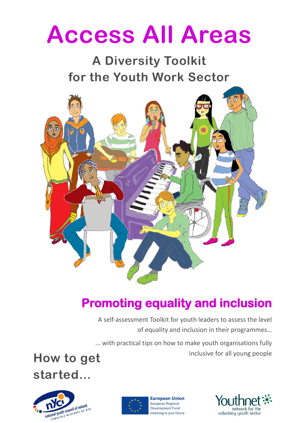# **Access All Areas**

# **A Diversity Toolkit for the Youth Work Sector**



## **Promoting equality and inclusion**

A self-assessment Toolkit for youth leaders to assess the level of equality and inclusion in their programmes…

... with practical tips on how to make youth organisations fully How to get **How to get inclusive for all young people** 

**started…**





**European Union** European Regional **Development Fund** Investing in your future

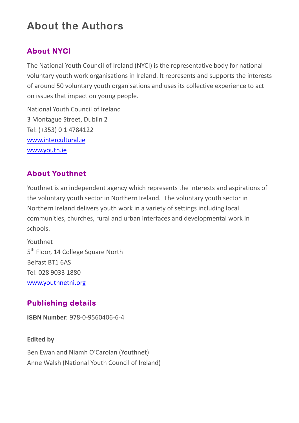## **About the Authors**

#### **About NYCI**

The National Youth Council of Ireland (NYCI) is the representative body for national voluntary youth work organisations in Ireland. It represents and supports the interests of around 50 voluntary youth organisations and uses its collective experience to act on issues that impact on young people.

National Youth Council of Ireland 3 Montague Street, Dublin 2 Tel: (+353) 0 1 4784122 [www.intercultural.ie](http://www.intercultural.ie/) [www.youth.ie](http://www.youth.ie/)

#### **About Youthnet**

Youthnet is an independent agency which represents the interests and aspirations of the voluntary youth sector in Northern Ireland. The voluntary youth sector in Northern Ireland delivers youth work in a variety of settings including local communities, churches, rural and urban interfaces and developmental work in schools.

Youthnet 5<sup>th</sup> Floor, 14 College Square North Belfast BT1 6AS Tel: 028 9033 1880 [www.youthnetni.org](http://www.youthnetni.org/)

#### **Publishing details**

**ISBN Number:** 978-0-9560406-6-4

**Edited by** 

Ben Ewan and Niamh O'Carolan (Youthnet) Anne Walsh (National Youth Council of Ireland)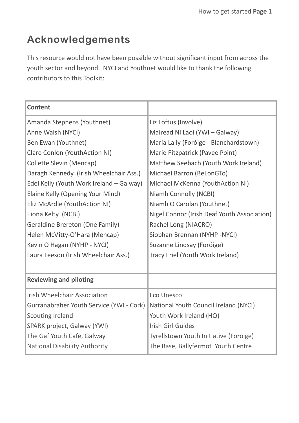## **Acknowledgements**

This resource would not have been possible without significant input from across the youth sector and beyond. NYCI and Youthnet would like to thank the following contributors to this Toolkit:

| <b>Content</b>                           |                                             |
|------------------------------------------|---------------------------------------------|
| Amanda Stephens (Youthnet)               | Liz Loftus (Involve)                        |
| Anne Walsh (NYCI)                        | Mairead Ní Laoi (YWI - Galway)              |
| Ben Ewan (Youthnet)                      | Maria Lally (Foróige - Blanchardstown)      |
| Clare Conlon (YouthAction NI)            | Marie Fitzpatrick (Pavee Point)             |
| <b>Collette Slevin (Mencap)</b>          | Matthew Seebach (Youth Work Ireland)        |
| Daragh Kennedy (Irish Wheelchair Ass.)   | Michael Barron (BeLonGTo)                   |
| Edel Kelly (Youth Work Ireland - Galway) | Michael McKenna (YouthAction NI)            |
| Elaine Kelly (Opening Your Mind)         | Niamh Connolly (NCBI)                       |
| Eliz McArdle (YouthAction NI)            | Niamh O Carolan (Youthnet)                  |
| Fiona Kelty (NCBI)                       | Nigel Connor (Irish Deaf Youth Association) |
| <b>Geraldine Brereton (One Family)</b>   | Rachel Long (NIACRO)                        |
| Helen McVitty-O'Hara (Mencap)            | Siobhan Brennan (NYHP -NYCI)                |
| Kevin O Hagan (NYHP - NYCI)              | Suzanne Lindsay (Foróige)                   |
| Laura Leeson (Irish Wheelchair Ass.)     | Tracy Friel (Youth Work Ireland)            |
|                                          |                                             |
| <b>Reviewing and piloting</b>            |                                             |
| <b>Irish Wheelchair Association</b>      | <b>Eco Unesco</b>                           |
| Gurranabraher Youth Service (YWI - Cork) | National Youth Council Ireland (NYCI)       |
| <b>Scouting Ireland</b>                  | Youth Work Ireland (HQ)                     |
| SPARK project, Galway (YWI)              | <b>Irish Girl Guides</b>                    |
| The Gaf Youth Café, Galway               | Tyrellstown Youth Initiative (Foróige)      |
| <b>National Disability Authority</b>     | The Base, Ballyfermot Youth Centre          |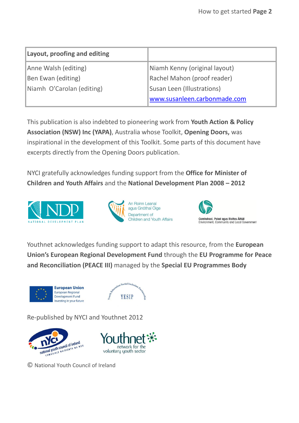| Layout, proofing and editing |                               |
|------------------------------|-------------------------------|
| Anne Walsh (editing)         | Niamh Kenny (original layout) |
| Ben Ewan (editing)           | Rachel Mahon (proof reader)   |
| Niamh O'Carolan (editing)    | Susan Leen (Illustrations)    |
|                              | www.susanleen.carbonmade.com  |

This publication is also indebted to pioneering work from **Youth Action & Policy Association (NSW) Inc (YAPA)**, Australia whose Toolkit, **Opening Doors,** was inspirational in the development of this Toolkit. Some parts of this document have excerpts directly from the Opening Doors publication.

NYCI gratefully acknowledges funding support from the **Office for Minister of Children and Youth Affairs** and the **National Development Plan 2008 – 2012** 







Youthnet acknowledges funding support to adapt this resource, from the **European Union's European Regional Development Fund** through the **EU Programme for Peace and Reconciliation (PEACE III)** managed by the **Special EU Programmes Body** 





Re-published by NYCI and Youthnet 2012



© National Youth Council of Ireland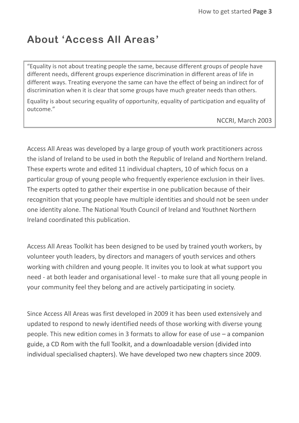#### **About 'Access All Areas'**

"Equality is not about treating people the same, because different groups of people have different needs, different groups experience discrimination in different areas of life in different ways. Treating everyone the same can have the effect of being an indirect for of discrimination when it is clear that some groups have much greater needs than others.

Equality is about securing equality of opportunity, equality of participation and equality of outcome."

NCCRI, March 2003

Access All Areas was developed by a large group of youth work practitioners across the island of Ireland to be used in both the Republic of Ireland and Northern Ireland. These experts wrote and edited 11 individual chapters, 10 of which focus on a particular group of young people who frequently experience exclusion in their lives. The experts opted to gather their expertise in one publication because of their recognition that young people have multiple identities and should not be seen under one identity alone. The National Youth Council of Ireland and Youthnet Northern Ireland coordinated this publication.

Access All Areas Toolkit has been designed to be used by trained youth workers, by volunteer youth leaders, by directors and managers of youth services and others working with children and young people. It invites you to look at what support you need - at both leader and organisational level - to make sure that all young people in your community feel they belong and are actively participating in society.

Since Access All Areas was first developed in 2009 it has been used extensively and updated to respond to newly identified needs of those working with diverse young people. This new edition comes in 3 formats to allow for ease of use – a companion guide, a CD Rom with the full Toolkit, and a downloadable version (divided into individual specialised chapters). We have developed two new chapters since 2009.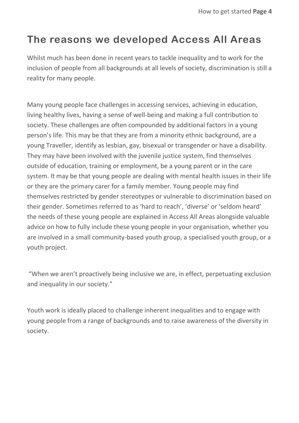#### **The reasons we developed Access All Areas**

Whilst much has been done in recent years to tackle inequality and to work for the inclusion of people from all backgrounds at all levels of society, discrimination is still a reality for many people.

Many young people face challenges in accessing services, achieving in education, living healthy lives, having a sense of well-being and making a full contribution to society. These challenges are often compounded by additional factors in a young person's life. This may be that they are from a minority ethnic background, are a young Traveller, identify as lesbian, gay, bisexual or transgender or have a disability. They may have been involved with the juvenile justice system, find themselves outside of education, training or employment, be a young parent or in the care system. It may be that young people are dealing with mental health issues in their life or they are the primary carer for a family member. Young people may find themselves restricted by gender stereotypes or vulnerable to discrimination based on their gender. Sometimes referred to as 'hard to reach', 'diverse' or 'seldom heard' the needs of these young people are explained in Access All Areas alongside valuable advice on how to fully include these young people in your organisation, whether you are involved in a small community-based youth group, a specialised youth group, or a youth project.

"When we aren't proactively being inclusive we are, in effect, perpetuating exclusion and inequality in our society."

Youth work is ideally placed to challenge inherent inequalities and to engage with young people from a range of backgrounds and to raise awareness of the diversity in society.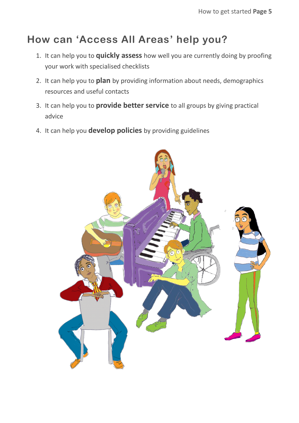## **How can 'Access All Areas' help you?**

- 1. It can help you to **quickly assess** how well you are currently doing by proofing your work with specialised checklists
- 2. It can help you to **plan** by providing information about needs, demographics resources and useful contacts
- 3. It can help you to **provide better service** to all groups by giving practical advice
- 4. It can help you **develop policies** by providing guidelines

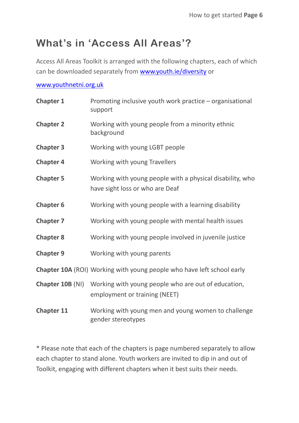### **What's in 'Access All Areas'?**

Access All Areas Toolkit is arranged with the following chapters, each of which can be downloaded separately from [www.youth.ie/diversity](http://www.youth.ie/diversity) or

#### [www.youthnetni.org.uk](http://www.youthnetni.org.uk/)

| <b>Chapter 1</b>  | Promoting inclusive youth work practice - organisational<br>support                                          |
|-------------------|--------------------------------------------------------------------------------------------------------------|
| <b>Chapter 2</b>  | Working with young people from a minority ethnic<br>background                                               |
| <b>Chapter 3</b>  | Working with young LGBT people                                                                               |
| <b>Chapter 4</b>  | Working with young Travellers                                                                                |
| <b>Chapter 5</b>  | Working with young people with a physical disability, who<br>have sight loss or who are Deaf                 |
| <b>Chapter 6</b>  | Working with young people with a learning disability                                                         |
| <b>Chapter 7</b>  | Working with young people with mental health issues                                                          |
| <b>Chapter 8</b>  | Working with young people involved in juvenile justice                                                       |
| <b>Chapter 9</b>  | Working with young parents                                                                                   |
|                   | <b>Chapter 10A (ROI) Working with young people who have left school early</b>                                |
|                   | <b>Chapter 10B (NI)</b> Working with young people who are out of education,<br>employment or training (NEET) |
| <b>Chapter 11</b> | Working with young men and young women to challenge<br>gender stereotypes                                    |

\* Please note that each of the chapters is page numbered separately to allow each chapter to stand alone. Youth workers are invited to dip in and out of Toolkit, engaging with different chapters when it best suits their needs.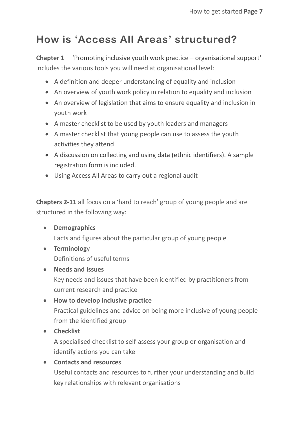## **How is 'Access All Areas' structured?**

**Chapter 1** 'Promoting inclusive youth work practice – organisational support' includes the various tools you will need at organisational level:

- A definition and deeper understanding of equality and inclusion
- An overview of youth work policy in relation to equality and inclusion
- An overview of legislation that aims to ensure equality and inclusion in youth work
- A master checklist to be used by youth leaders and managers
- A master checklist that young people can use to assess the youth activities they attend
- A discussion on collecting and using data (ethnic identifiers). A sample registration form is included.
- Using Access All Areas to carry out a regional audit

**Chapters 2-11** all focus on a 'hard to reach' group of young people and are structured in the following way:

- **•** Demographics Facts and figures about the particular group of young people
- **Terminolog**y Definitions of useful terms
- **Needs and Issues**

Key needs and issues that have been identified by practitioners from current research and practice

 **How to develop inclusive practice** Practical guidelines and advice on being more inclusive of young people from the identified group

**Checklist**

A specialised checklist to self-assess your group or organisation and identify actions you can take

#### **Contacts and resources**

Useful contacts and resources to further your understanding and build key relationships with relevant organisations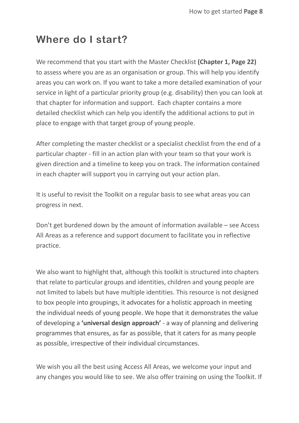#### **Where do I start?**

We recommend that you start with the Master Checklist **(Chapter 1, Page 22)**  to assess where you are as an organisation or group. This will help you identify areas you can work on. If you want to take a more detailed examination of your service in light of a particular priority group (e.g. disability) then you can look at that chapter for information and support. Each chapter contains a more detailed checklist which can help you identify the additional actions to put in place to engage with that target group of young people.

After completing the master checklist or a specialist checklist from the end of a particular chapter - fill in an action plan with your team so that your work is given direction and a timeline to keep you on track. The information contained in each chapter will support you in carrying out your action plan.

It is useful to revisit the Toolkit on a regular basis to see what areas you can progress in next.

Don't get burdened down by the amount of information available – see Access All Areas as a reference and support document to facilitate you in reflective practice.

We also want to highlight that, although this toolkit is structured into chapters that relate to particular groups and identities, children and young people are not limited to labels but have multiple identities. This resource is not designed to box people into groupings, it advocates for a holistic approach in meeting the individual needs of young people. We hope that it demonstrates the value of developing a **'universal design approach'** - a way of planning and delivering programmes that ensures, as far as possible, that it caters for as many people as possible, irrespective of their individual circumstances.

We wish you all the best using Access All Areas, we welcome your input and any changes you would like to see. We also offer training on using the Toolkit. If